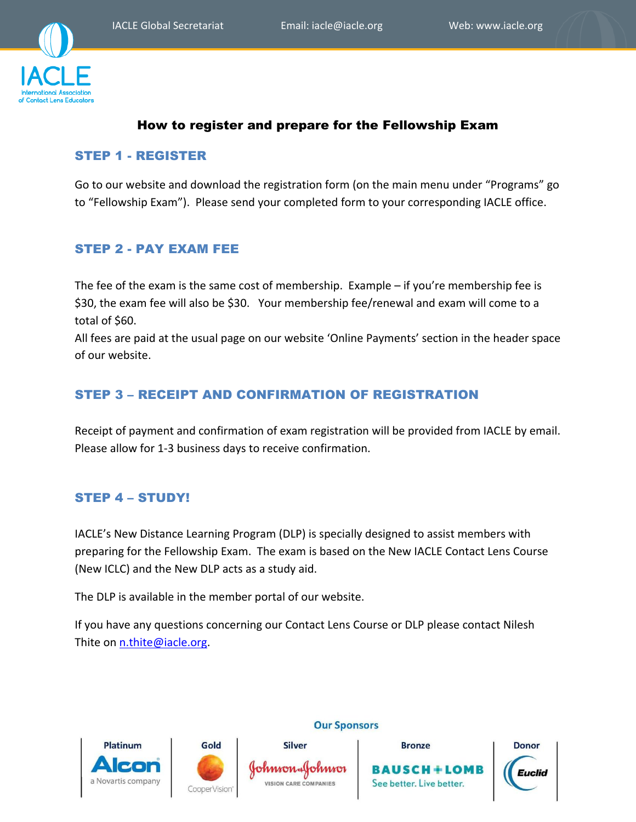

# How to register and prepare for the Fellowship Exam

### STEP 1 - REGISTER

Go to our website and download the registration form (on the main menu under "Programs" go to "Fellowship Exam"). Please send your completed form to your corresponding IACLE office.

## STEP 2 - PAY EXAM FEE

The fee of the exam is the same cost of membership. Example – if you're membership fee is \$30, the exam fee will also be \$30. Your membership fee/renewal and exam will come to a total of \$60.

All fees are paid at the usual page on our website 'Online Payments' section in the header space of our website.

## STEP 3 – RECEIPT AND CONFIRMATION OF REGISTRATION

Receipt of payment and confirmation of exam registration will be provided from IACLE by email. Please allow for 1-3 business days to receive confirmation.

## STEP 4 – STUDY!

IACLE's New Distance Learning Program (DLP) is specially designed to assist members with preparing for the Fellowship Exam. The exam is based on the New IACLE Contact Lens Course (New ICLC) and the New DLP acts as a study aid.

The DLP is available in the member portal of our website.

If you have any questions concerning our Contact Lens Course or DLP please contact Nilesh Thite on [n.thite@iacle.org.](mailto:n.thite@iacle.org)







# **Bronze** See better. Live better.



#### **Our Sponsors**